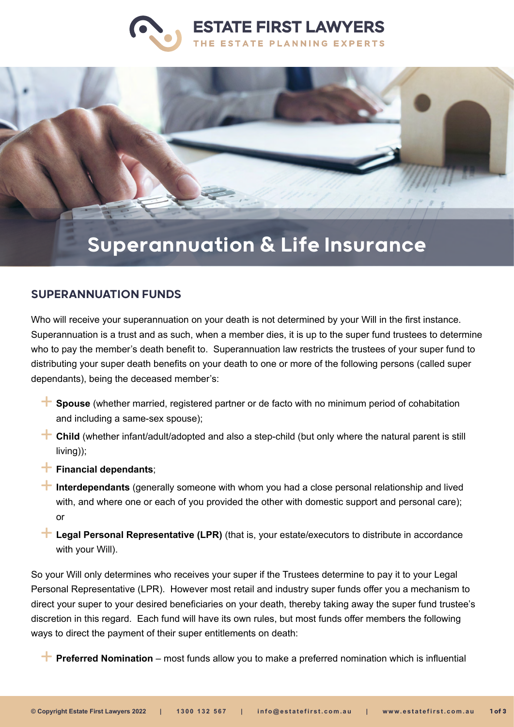



## Superannuation & Life Insurance

## SUPERANNUATION FUNDS

Who will receive your superannuation on your death is not determined by your Will in the first instance. Superannuation is a trust and as such, when a member dies, it is up to the super fund trustees to determine who to pay the member's death benefit to. Superannuation law restricts the trustees of your super fund to distributing your super death benefits on your death to one or more of the following persons (called super dependants), being the deceased member's:

- **Spouse** (whether married, registered partner or de facto with no minimum period of cohabitation and including a same-sex spouse);
- **Child** (whether infant/adult/adopted and also a step-child (but only where the natural parent is still living));
- **Financial dependants:**
- **Interdependants** (generally someone with whom you had a close personal relationship and lived with, and where one or each of you provided the other with domestic support and personal care); or
- **<sup>→</sup> Legal Personal Representative (LPR)** (that is, your estate/executors to distribute in accordance with your Will).

So your Will only determines who receives your super if the Trustees determine to pay it to your Legal Personal Representative (LPR). However most retail and industry super funds offer you a mechanism to direct your super to your desired beneficiaries on your death, thereby taking away the super fund trustee's discretion in this regard. Each fund will have its own rules, but most funds offer members the following ways to direct the payment of their super entitlements on death:

**Preferred Nomination** – most funds allow you to make a preferred nomination which is influential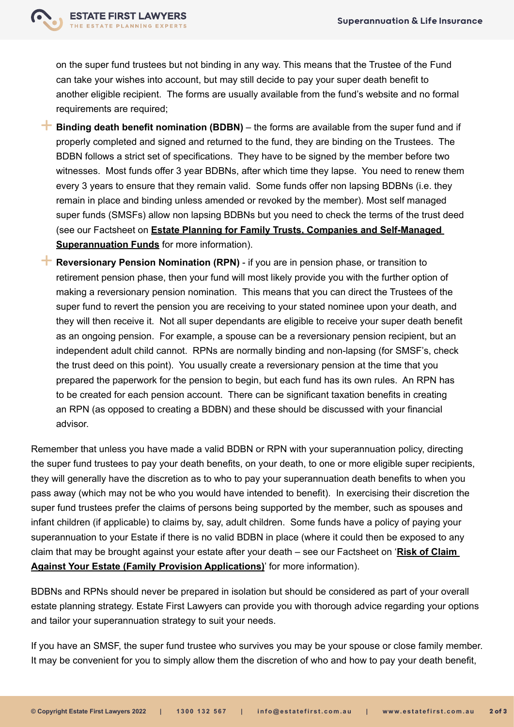

on the super fund trustees but not binding in any way. This means that the Trustee of the Fund can take your wishes into account, but may still decide to pay your super death benefit to another eligible recipient. The forms are usually available from the fund's website and no formal requirements are required;

- **Binding death benefit nomination (BDBN)** the forms are available from the super fund and if properly completed and signed and returned to the fund, they are binding on the Trustees. The BDBN follows a strict set of specifications. They have to be signed by the member before two witnesses. Most funds offer 3 year BDBNs, after which time they lapse. You need to renew them every 3 years to ensure that they remain valid. Some funds offer non lapsing BDBNs (i.e. they remain in place and binding unless amended or revoked by the member). Most self managed super funds (SMSFs) allow non lapsing BDBNs but you need to check the terms of the trust deed (see our Factsheet on **[Estate Planning for Family Trusts, Companies and Self-Managed](https://www.estatefirst.com.au/estate-planning/family-trust-business-structures)  [Superannuation Funds](https://www.estatefirst.com.au/estate-planning/family-trust-business-structures)** for more information).
- **Reversionary Pension Nomination (RPN)** if you are in pension phase, or transition to retirement pension phase, then your fund will most likely provide you with the further option of making a reversionary pension nomination. This means that you can direct the Trustees of the super fund to revert the pension you are receiving to your stated nominee upon your death, and they will then receive it. Not all super dependants are eligible to receive your super death benefit as an ongoing pension. For example, a spouse can be a reversionary pension recipient, but an independent adult child cannot. RPNs are normally binding and non-lapsing (for SMSF's, check the trust deed on this point). You usually create a reversionary pension at the time that you prepared the paperwork for the pension to begin, but each fund has its own rules. An RPN has to be created for each pension account. There can be significant taxation benefits in creating an RPN (as opposed to creating a BDBN) and these should be discussed with your financial advisor.

Remember that unless you have made a valid BDBN or RPN with your superannuation policy, directing the super fund trustees to pay your death benefits, on your death, to one or more eligible super recipients, they will generally have the discretion as to who to pay your superannuation death benefits to when you pass away (which may not be who you would have intended to benefit). In exercising their discretion the super fund trustees prefer the claims of persons being supported by the member, such as spouses and infant children (if applicable) to claims by, say, adult children. Some funds have a policy of paying your superannuation to your Estate if there is no valid BDBN in place (where it could then be exposed to any claim that may be brought against your estate after your death – see our Factsheet on '**[Risk of Claim](https://www.estatefirst.com.au/estate-planning/estate-claims-advice)  [Against Your Estate \(Family Provision Applications\)](https://www.estatefirst.com.au/estate-planning/estate-claims-advice)**' for more information).

BDBNs and RPNs should never be prepared in isolation but should be considered as part of your overall estate planning strategy. Estate First Lawyers can provide you with thorough advice regarding your options and tailor your superannuation strategy to suit your needs.

If you have an SMSF, the super fund trustee who survives you may be your spouse or close family member. It may be convenient for you to simply allow them the discretion of who and how to pay your death benefit,